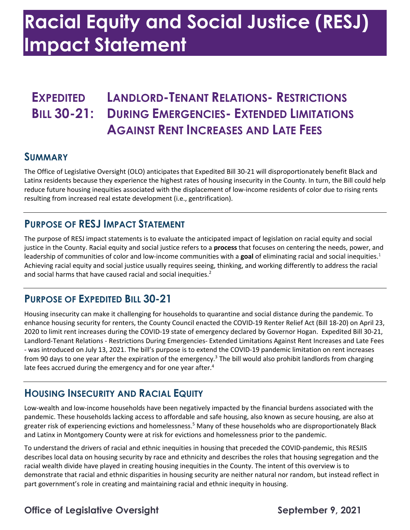# **Racial Equity and Social Justice (RESJ) Impact Statement**

### **AGAINST RENT INCREASES AND LATE FEES EXPEDITED LANDLORD-TENANT RELATIONS- RESTRICTIONS BILL 30-21: DURING EMERGENCIES- EXTENDED LIMITATIONS**

#### **SUMMARY**

 Latinx residents because they experience the highest rates of housing insecurity in the County. In turn, the Bill could help reduce future housing inequities associated with the displacement of low-income residents of color due to rising rents resulting from increased real estate development (i.e., gentrification). The Office of Legislative Oversight (OLO) anticipates that Expedited Bill 30-21 will disproportionately benefit Black and

#### **PURPOSE OF RESJ IMPACT STATEMENT**

 The purpose of RESJ impact statements is to evaluate the anticipated impact of legislation on racial equity and social justice in the County. Racial equity and social justice refers to a **process** that focuses on centering the needs, power, and leadership of communities of color and low-income communities with a **goal** of eliminating racial and social inequities. 1 Achieving racial equity and social justice usually requires seeing, thinking, and working differently to address the racial and social harms that have caused racial and social inequities. 2

### **PURPOSE OF EXPEDITED BILL 30-21**

 Housing insecurity can make it challenging for households to quarantine and social distance during the pandemic. To enhance housing security for renters, the County Council enacted the COVID-19 Renter Relief Act (Bill 18-20) on April 23, 2020 to limit rent increases during the COVID-19 state of emergency declared by Governor Hogan. Expedited Bill 30-21, Landlord-Tenant Relations - Restrictions During Emergencies- Extended Limitations Against Rent Increases and Late Fees - was introduced on July 13, 2021. The bill's purpose is to extend the COVID-19 pandemic limitation on rent increases from 90 days to one year after the expiration of the emergency.<sup>3</sup> The bill would also prohibit landlords from charging late fees accrued during the emergency and for one year after.<sup>4</sup>

#### **HOUSING INSECURITY AND RACIAL EQUITY**

 Low-wealth and low-income households have been negatively impacted by the financial burdens associated with the pandemic. These households lacking access to affordable and safe housing, also known as secure housing, are also at greater risk of experiencing evictions and homelessness.<sup>5</sup> Many of these households who are disproportionately Black and Latinx in Montgomery County were at risk for evictions and homelessness prior to the pandemic.

 To understand the drivers of racial and ethnic inequities in housing that preceded the COVID-pandemic, this RESJIS describes local data on housing security by race and ethnicity and describes the roles that housing segregation and the racial wealth divide have played in creating housing inequities in the County. The intent of this overview is to demonstrate that racial and ethnic disparities in housing security are neither natural nor random, but instead reflect in part government's role in creating and maintaining racial and ethnic inequity in housing.

### **Office of Legislative Oversight September 9, 2021**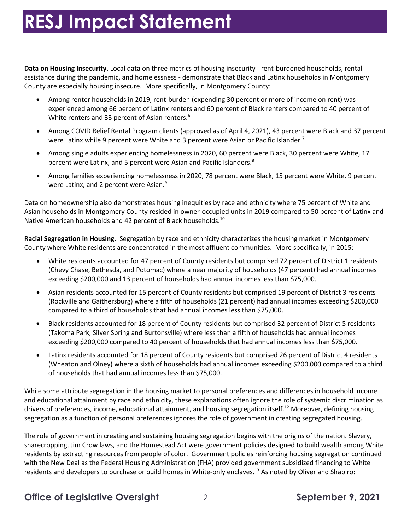**Data on Housing Insecurity.** Local data on three metrics of housing insecurity - rent-burdened households, rental County are especially housing insecure. More specifically, in Montgomery County: assistance during the pandemic, and homelessness - demonstrate that Black and Latinx households in Montgomery

- • Among renter households in 2019, rent-burden (expending 30 percent or more of income on rent) was experienced among 66 percent of Latinx renters and 60 percent of Black renters compared to 40 percent of White renters and 33 percent of Asian renters. 6
- • Among COVID Relief Rental Program clients (approved as of April 4, 2021), 43 percent were Black and 37 percent were Latinx while 9 percent were White and 3 percent were Asian or Pacific Islander.<sup>7</sup>
- • Among single adults experiencing homelessness in 2020, 60 percent were Black, 30 percent were White, 17 percent were Latinx, and 5 percent were Asian and Pacific Islanders.<sup>8</sup>
- • Among families experiencing homelessness in 2020, 78 percent were Black, 15 percent were White, 9 percent were Latinx, and 2 percent were Asian.<sup>9</sup>

 Data on homeownership also demonstrates housing inequities by race and ethnicity where 75 percent of White and Asian households in Montgomery County resided in owner-occupied units in 2019 compared to 50 percent of Latinx and Native American households and 42 percent of Black households.<sup>10</sup>

 **Racial Segregation in Housing.** Segregation by race and ethnicity characterizes the housing market in Montgomery County where White residents are concentrated in the most affluent communities. More specifically, in 2015: $^{11}$ 

- • White residents accounted for 47 percent of County residents but comprised 72 percent of District 1 residents (Chevy Chase, Bethesda, and Potomac) where a near majority of households (47 percent) had annual incomes exceeding \$200,000 and 13 percent of households had annual incomes less than \$75,000.
- • Asian residents accounted for 15 percent of County residents but comprised 19 percent of District 3 residents (Rockville and Gaithersburg) where a fifth of households (21 percent) had annual incomes exceeding \$200,000 compared to a third of households that had annual incomes less than \$75,000.
- • Black residents accounted for 18 percent of County residents but comprised 32 percent of District 5 residents (Takoma Park, Silver Spring and Burtonsville) where less than a fifth of households had annual incomes exceeding \$200,000 compared to 40 percent of households that had annual incomes less than \$75,000.
- • Latinx residents accounted for 18 percent of County residents but comprised 26 percent of District 4 residents (Wheaton and Olney) where a sixth of households had annual incomes exceeding \$200,000 compared to a third of households that had annual incomes less than \$75,000.

 of households that had annual incomes less than \$75,000. While some attribute segregation in the housing market to personal preferences and differences in household income and educational attainment by race and ethnicity, these explanations often ignore the role of systemic discrimination as drivers of preferences, income, educational attainment, and housing segregation [itself.](https://itself.12)<sup>12</sup> Moreover, defining housing segregation as a function of personal preferences ignores the role of government in creating segregated housing.

 The role of government in creating and sustaining housing segregation begins with the origins of the nation. Slavery, sharecropping, Jim Crow laws, and the Homestead Act were government policies designed to build wealth among White residents by extracting resources from people of color. Government policies reinforcing housing segregation continued with the New Deal as the Federal Housing Administration (FHA) provided government subsidized financing to White residents and developers to purchase or build homes in White-only enclaves.<sup>13</sup> As noted by Oliver and Shapiro:

#### **Office of Legislative Oversight** 2 **September 9, 2021**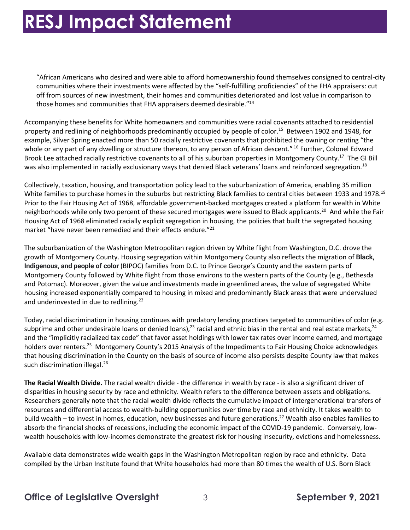off from sources of new investment, their homes and communities deteriorated and lost value in comparison to those homes and communities that FHA appraisers deemed desirable."<sup>14</sup> "African Americans who desired and were able to afford homeownership found themselves consigned to central-city communities where their investments were affected by the "self-fulfilling proficiencies" of the FHA appraisers: cut

 Accompanying these benefits for White homeowners and communities were racial covenants attached to residential property and redlining of neighborhoods predominantly occupied by people of color.<sup>15</sup> Between 1902 and 1948, for example, Silver Spring enacted more than 50 racially restrictive covenants that prohibited the owning or renting "the whole or any part of any dwelling or structure thereon, to any person of African descent."<sup>16</sup> Further, Colonel Edward Brook Lee attached racially restrictive covenants to all of his suburban properties in Montgomery County.<sup>17</sup> The GI Bill was also implemented in racially exclusionary ways that denied Black veterans' loans and reinforced [segregation.](https://segregation.18)<sup>18</sup>

 Collectively, taxation, housing, and transportation policy lead to the suburbanization of America, enabling 35 million White families to purchase homes in the suburbs but restricting Black families to central cities between 1933 and 1978.<sup>19</sup> Prior to the Fair Housing Act of 1968, affordable government-backed mortgages created a platform for wealth in White neighborhoods while only two percent of these secured mortgages were issued to Black applicants.<sup>20</sup> And while the Fair Housing Act of 1968 eliminated racially explicit segregation in housing, the policies that built the segregated housing market "have never been remedied and their effects endure."<sup>21</sup>

 The suburbanization of the Washington Metropolitan region driven by White flight from Washington, D.C. drove the growth of Montgomery County. Housing segregation within Montgomery County also reflects the migration of **Black, Indigenous, and people of color** (BIPOC) families from D.C. to Prince George's County and the eastern parts of Montgomery County followed by White flight from those environs to the western parts of the County (e.g., Bethesda and Potomac). Moreover, given the value and investments made in greenlined areas, the value of segregated White housing increased exponentially compared to housing in mixed and predominantly Black areas that were undervalued and underinvested in due to redlining.<sup>22</sup>

subprime and other undesirable loans or denied loans),<sup>23</sup> racial and ethnic bias in the rental and real estate markets,<sup>24</sup> and the "implicitly racialized tax code" that favor asset holdings with lower tax rates over income earned, and mortgage holders over [renters.](https://renters.25)<sup>25</sup> Montgomery County's 2015 Analysis of the Impediments to Fair Housing Choice acknowledges that housing discrimination in the County on the basis of source of income also persists despite County law that makes such discrimination illegal.<sup>26</sup> Today, racial discrimination in housing continues with predatory lending practices targeted to communities of color (e.g.

 **The Racial Wealth Divide.** The racial wealth divide - the difference in wealth by race - is also a significant driver of disparities in housing security by race and ethnicity. Wealth refers to the difference between assets and obligations. Researchers generally note that the racial wealth divide reflects the cumulative impact of intergenerational transfers of resources and differential access to wealth-building opportunities over time by race and ethnicity. It takes wealth to build wealth – to invest in homes, education, new businesses and future generations.<sup>27</sup> Wealth also enables families to absorb the financial shocks of recessions, including the economic impact of the COVID-19 pandemic. Conversely, low-wealth households with low-incomes demonstrate the greatest risk for housing insecurity, evictions and homelessness.

 Available data demonstrates wide wealth gaps in the Washington Metropolitan region by race and ethnicity. Data compiled by the Urban Institute found that White households had more than 80 times the wealth of U.S. Born Black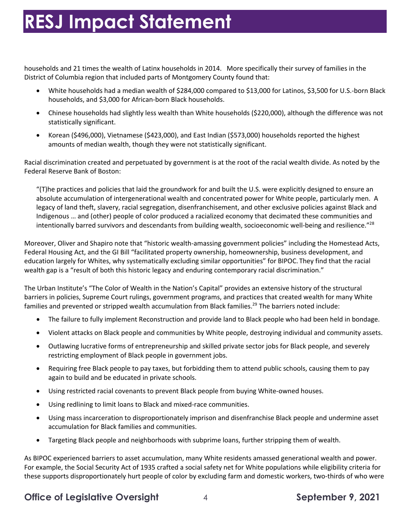households and 21 times the wealth of Latinx households in 2014. More specifically their survey of families in the District of Columbia region that included parts of Montgomery County found that:

- • White households had a median wealth of \$284,000 compared to \$13,000 for Latinos, \$3,500 for U.S.-born Black households, and \$3,000 for African-born Black households.
- • Chinese households had slightly less wealth than White households (\$220,000), although the difference was not statistically significant.
- • Korean (\$496,000), Vietnamese (\$423,000), and East Indian (\$573,000) households reported the highest amounts of median wealth, though they were not statistically significant.

 Racial discrimination created and perpetuated by government is at the root of the racial wealth divide. As noted by the Federal Reserve Bank of Boston:

 "(T)he practices and policies that laid the groundwork for and built the U.S. were explicitly designed to ensure an absolute accumulation of intergenerational wealth and concentrated power for White people, particularly men. A Indigenous … and (other) people of color produced a racialized economy that decimated these communities and intentionally barred survivors and descendants from building wealth, socioeconomic well-being and resilience."<sup>28</sup> legacy of land theft, slavery, racial segregation, disenfranchisement, and other exclusive policies against Black and

 Moreover, Oliver and Shapiro note that "historic wealth-amassing government policies" including the Homestead Acts, Federal Housing Act, and the GI Bill "facilitated property ownership, homeownership, business development, and education largely for Whites, why systematically excluding similar opportunities" for BIPOC. They find that the racial wealth gap is a "result of both this historic legacy and enduring contemporary racial discrimination."

 The Urban Institute's "The Color of Wealth in the Nation's Capital" provides an extensive history of the structural barriers in policies, Supreme Court rulings, government programs, and practices that created wealth for many White families and prevented or stripped wealth accumulation from Black families.<sup>29</sup> The barriers noted include:

- The failure to fully implement Reconstruction and provide land to Black people who had been held in bondage.
- Violent attacks on Black people and communities by White people, destroying individual and community assets.
- • Outlawing lucrative forms of entrepreneurship and skilled private sector jobs for Black people, and severely restricting employment of Black people in government jobs.
- • Requiring free Black people to pay taxes, but forbidding them to attend public schools, causing them to pay again to build and be educated in private schools.
- Using restricted racial covenants to prevent Black people from buying White-owned houses.
- Using redlining to limit loans to Black and mixed-race communities.
- • Using mass incarceration to disproportionately imprison and disenfranchise Black people and undermine asset accumulation for Black families and communities.
- Targeting Black people and neighborhoods with subprime loans, further stripping them of wealth.

 As BIPOC experienced barriers to asset accumulation, many White residents amassed generational wealth and power. For example, the Social Security Act of 1935 crafted a social safety net for White populations while eligibility criteria for these supports disproportionately hurt people of color by excluding farm and domestic workers, two-thirds of who were

#### **Office of Legislative Oversight** 4 **September 9, 2021**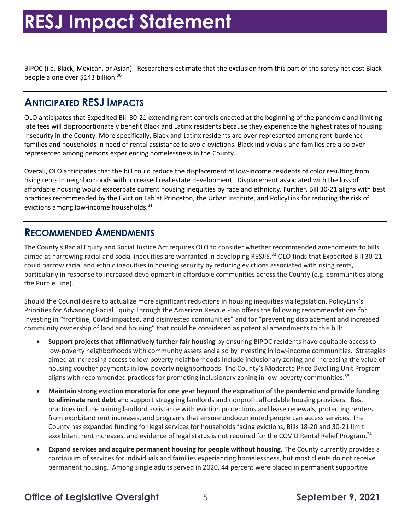BIPOC (i.e. Black, Mexican, or Asian). Researchers estimate that the exclusion from this part of the safety net cost Black people alone over \$143 billion.<sup>30</sup>

#### **ANTICIPATED RESJ IMPACTS**

 OLO anticipates that Expedited Bill 30-21 extending rent controls enacted at the beginning of the pandemic and limiting late fees will disproportionately benefit Black and Latinx residents because they experience the highest rates of housing families and households in need of rental assistance to avoid evictions. Black individuals and families are also over- represented among persons experiencing homelessness in the County. insecurity in the County. More specifically, Black and Latinx residents are over-represented among rent-burdened

 Overall, OLO anticipates that the bill could reduce the displacement of low-income residents of color resulting from rising rents in neighborhoods with increased real estate development. Displacement associated with the loss of affordable housing would exacerbate current housing inequities by race and ethnicity. Further, Bill 30-21 aligns with best practices recommended by the Eviction Lab at Princeton, the Urban Institute, and PolicyLink for reducing the risk of evictions among low-income households.<sup>31</sup>

#### **RECOMMENDED AMENDMENTS**

 The County's Racial Equity and Social Justice Act requires OLO to consider whether recommended amendments to bills aimed at narrowing racial and social inequities are warranted in developing [RESJIS.](https://RESJIS.32)<sup>32</sup> OLO finds that Expedited Bill 30-21 could narrow racial and ethnic inequities in housing security by reducing evictions associated with rising rents, particularly in response to increased development in affordable communities across the County (e.g. communities along the Purple Line).

 Should the Council desire to actualize more significant reductions in housing inequities via legislation, PolicyLink's Priorities for Advancing Racial Equity Through the American Rescue Plan offers the following recommendations for investing in "frontline, Covid-impacted, and disinvested communities" and for "preventing displacement and increased community ownership of land and housing" that could be considered as potential amendments to this bill:

- **Support projects that affirmatively further fair housing** by ensuring BIPOC residents have equitable access to low-poverty neighborhoods with community assets and also by investing in low-income communities. Strategies aimed at increasing access to low-poverty neighborhoods include inclusionary zoning and increasing the value of housing voucher payments in low-poverty neighborhoods. The County's Moderate Price Dwelling Unit Program aligns with recommended practices for promoting inclusionary zoning in low-poverty [communities.](https://communities.33)<sup>33</sup>
- **Maintain strong eviction moratoria for one year beyond the expiration of the pandemic and provide funding to eliminate rent debt** and support struggling landlords and nonprofit affordable housing providers. Best practices include pairing landlord assistance with eviction protections and lease renewals, protecting renters County has expanded funding for legal services for households facing evictions, Bills 18-20 and 30-21 limit exorbitant rent increases, and evidence of legal status is not required for the COVID Rental Relief [Program.](https://Program.34)<sup>34</sup> from exorbitant rent increases, and programs that ensure undocumented people can access services. The
- **Expand services and acquire permanent housing for people without housing**. The County currently provides a permanent housing. Among single adults served in 2020, 44 percent were placed in permanent supportive continuum of services for individuals and families experiencing homelessness, but most clients do not receive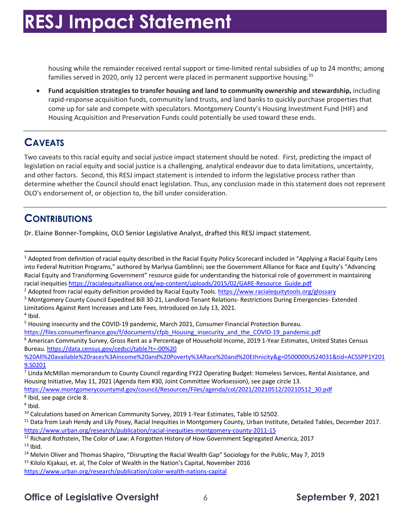housing while the remainder received rental support or time-limited rental subsidies of up to 24 months; among families served in 2020, only 12 percent were placed in permanent supportive housing.<sup>35</sup>

 • **Fund acquisition strategies to transfer housing and land to community ownership and stewardship,** including come up for sale and compete with speculators. Montgomery County's Housing Investment Fund (HIF) and Housing Acquisition and Preservation Funds could potentially be used toward these ends. rapid-response acquisition funds, community land trusts, and land banks to quickly purchase properties that

### **CAVEATS**

 Two caveats to this racial equity and social justice impact statement should be noted. First, predicting the impact of and other factors. Second, this RESJ impact statement is intended to inform the legislative process rather than determine whether the Council should enact legislation. Thus, any conclusion made in this statement does not represent OLO's endorsement of, or objection to, the bill under consideration. legislation on racial equity and social justice is a challenging, analytical endeavor due to data limitations, uncertainty,

### **CONTRIBUTIONS**

Dr. Elaine Bonner-Tompkins, OLO Senior Legislative Analyst, drafted this RESJ impact statement.

 $1$  Adopted from definition of racial equity described in the Racial Equity Policy Scorecard included in "Applying a Racial Equity Lens Racial Equity and Transforming Government" resource guide for understanding the historical role of government in maintaining racial inequities https://racialequityalliance.org/wp-content/uploads/2015/02/GARE-Resource Guide.pdf into Federal Nutrition Programs," authored by Marlysa Gamblinni; see the Government Alliance for Race and Equity's "Advancing

<sup>&</sup>lt;sup>2</sup> Adopted from racial equity definition provided by Racial Equity Tools, https://www.racialequitytools.org/glossary

 Limitations Against Rent Increases and Late Fees, Introduced on July 13, 2021. <sup>3</sup> Montgomery County Council Expedited Bill 30-21, Landlord-Tenant Relations- Restrictions During Emergencies- Extended

 $4$  Ibid.

<sup>&</sup>lt;sup>5</sup> Housing insecurity and the COVID-19 pandemic, March 2021, Consumer Financial Protection Bureau.

https://files.consumerfinance.gov/f/documents/cfpb\_Housing\_insecurity\_and\_the\_COVID-19\_pandemic.pdf<br><sup>6</sup> American Community Survey, Gross Rent as a Percentage of Household Income, 2019 1-Year Estimates, United States Census Bureau.<https://data.census.gov/cedsci/table?t=-00%20>

<sup>%20</sup>All%20available%20races%3AIncome%20and%20Poverty%3ARace%20and%20Ethnicity&g=0500000US24031&tid=ACSSPP1Y201 9.S0201

 $<sup>7</sup>$  Linda McMillan memorandum to County Council regarding FY22 Operating Budget: Homeless Services, Rental Assistance, and</sup> Housing Initiative, May 11, 2021 (Agenda Item #30, Joint Committee Worksession), see page circle 13.

[https://www.montgomerycountymd.gov/council/Resources/Files/agenda/col/2021/20210512/20210512\\_30.pdf](https://www.montgomerycountymd.gov/council/Resources/Files/agenda/col/2021/20210512/20210512_30.pdf)<br><sup>8</sup> Ibid, see page circle 8.

<sup>&</sup>lt;sup>9</sup> Ibid.

<sup>&</sup>lt;sup>10</sup> Calculations based on American Community Survey, 2019 1-Year Estimates, Table ID S2502.

<sup>&</sup>lt;sup>10</sup> Calculations based on American Community Survey, 2019 1-Year Estimates, Table ID S2502.<br><sup>11</sup> Data from Leah Hendy and Lily Posey, Racial Inequities in Montgomery County, Urban Institute, Detailed Tables, December 2017 https://www.urban.org/research/publication/racial-inequities-montgomery-county-2011-15

 $13$  Ibid. <https://www.urban.org/research/publication/racial-inequities-montgomery-county-2011-15><br><sup>12</sup> Richard Rothstein, The Color of Law: A Forgotten History of How Government Segregated America, 2017<br><sup>13</sup> Ibid.<br><sup>14</sup> Melvin Oliver

<sup>&</sup>lt;sup>14</sup> Melvin Oliver and Thomas Shapiro, "Disrupting the Racial Wealth Gap" Sociology for the Public, May 7, 2019 <sup>15</sup> Kilolo Kijakazi, et. al, The Color of Wealth in the Nation's Capital, November 2016

 <https://www.urban.org/research/publication/color-wealth-nations-capital>